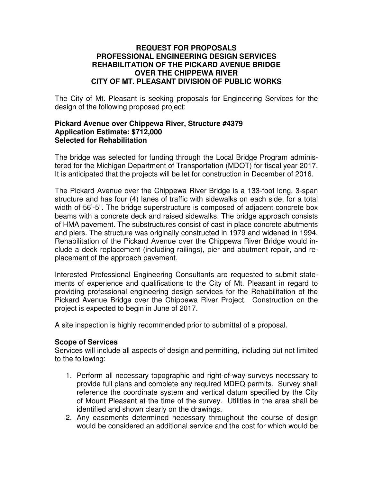#### **REQUEST FOR PROPOSALS PROFESSIONAL ENGINEERING DESIGN SERVICES REHABILITATION OF THE PICKARD AVENUE BRIDGE OVER THE CHIPPEWA RIVER CITY OF MT. PLEASANT DIVISION OF PUBLIC WORKS**

The City of Mt. Pleasant is seeking proposals for Engineering Services for the design of the following proposed project:

#### **Pickard Avenue over Chippewa River, Structure #4379 Application Estimate: \$712,000 Selected for Rehabilitation**

The bridge was selected for funding through the Local Bridge Program administered for the Michigan Department of Transportation (MDOT) for fiscal year 2017. It is anticipated that the projects will be let for construction in December of 2016.

The Pickard Avenue over the Chippewa River Bridge is a 133-foot long, 3-span structure and has four (4) lanes of traffic with sidewalks on each side, for a total width of 56'-5". The bridge superstructure is composed of adjacent concrete box beams with a concrete deck and raised sidewalks. The bridge approach consists of HMA pavement. The substructures consist of cast in place concrete abutments and piers. The structure was originally constructed in 1979 and widened in 1994. Rehabilitation of the Pickard Avenue over the Chippewa River Bridge would include a deck replacement (including railings), pier and abutment repair, and replacement of the approach pavement.

Interested Professional Engineering Consultants are requested to submit statements of experience and qualifications to the City of Mt. Pleasant in regard to providing professional engineering design services for the Rehabilitation of the Pickard Avenue Bridge over the Chippewa River Project. Construction on the project is expected to begin in June of 2017.

A site inspection is highly recommended prior to submittal of a proposal.

#### **Scope of Services**

Services will include all aspects of design and permitting, including but not limited to the following:

- 1. Perform all necessary topographic and right-of-way surveys necessary to provide full plans and complete any required MDEQ permits. Survey shall reference the coordinate system and vertical datum specified by the City of Mount Pleasant at the time of the survey. Utilities in the area shall be identified and shown clearly on the drawings.
- 2. Any easements determined necessary throughout the course of design would be considered an additional service and the cost for which would be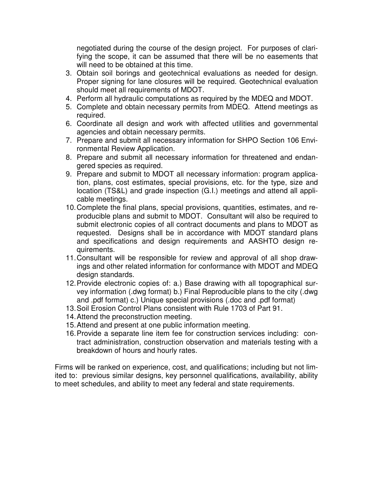negotiated during the course of the design project. For purposes of clarifying the scope, it can be assumed that there will be no easements that will need to be obtained at this time.

- 3. Obtain soil borings and geotechnical evaluations as needed for design. Proper signing for lane closures will be required. Geotechnical evaluation should meet all requirements of MDOT.
- 4. Perform all hydraulic computations as required by the MDEQ and MDOT.
- 5. Complete and obtain necessary permits from MDEQ. Attend meetings as required.
- 6. Coordinate all design and work with affected utilities and governmental agencies and obtain necessary permits.
- 7. Prepare and submit all necessary information for SHPO Section 106 Environmental Review Application.
- 8. Prepare and submit all necessary information for threatened and endangered species as required.
- 9. Prepare and submit to MDOT all necessary information: program application, plans, cost estimates, special provisions, etc. for the type, size and location (TS&L) and grade inspection (G.I.) meetings and attend all applicable meetings.
- 10. Complete the final plans, special provisions, quantities, estimates, and reproducible plans and submit to MDOT. Consultant will also be required to submit electronic copies of all contract documents and plans to MDOT as requested. Designs shall be in accordance with MDOT standard plans and specifications and design requirements and AASHTO design requirements.
- 11. Consultant will be responsible for review and approval of all shop drawings and other related information for conformance with MDOT and MDEQ design standards.
- 12. Provide electronic copies of: a.) Base drawing with all topographical survey information (.dwg format) b.) Final Reproducible plans to the city (.dwg and .pdf format) c.) Unique special provisions (.doc and .pdf format)
- 13. Soil Erosion Control Plans consistent with Rule 1703 of Part 91.
- 14. Attend the preconstruction meeting.
- 15. Attend and present at one public information meeting.
- 16. Provide a separate line item fee for construction services including: contract administration, construction observation and materials testing with a breakdown of hours and hourly rates.

Firms will be ranked on experience, cost, and qualifications; including but not limited to: previous similar designs, key personnel qualifications, availability, ability to meet schedules, and ability to meet any federal and state requirements.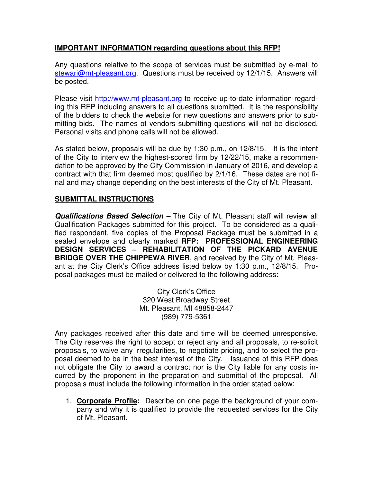# **IMPORTANT INFORMATION regarding questions about this RFP!**

Any questions relative to the scope of services must be submitted by e-mail to stewari@mt-pleasant.org. Questions must be received by 12/1/15. Answers will be posted.

Please visit http://www.mt-pleasant.org to receive up-to-date information regarding this RFP including answers to all questions submitted. It is the responsibility of the bidders to check the website for new questions and answers prior to submitting bids. The names of vendors submitting questions will not be disclosed. Personal visits and phone calls will not be allowed.

As stated below, proposals will be due by 1:30 p.m., on 12/8/15. It is the intent of the City to interview the highest-scored firm by 12/22/15, make a recommendation to be approved by the City Commission in January of 2016, and develop a contract with that firm deemed most qualified by 2/1/16. These dates are not final and may change depending on the best interests of the City of Mt. Pleasant.

### **SUBMITTAL INSTRUCTIONS**

**Qualifications Based Selection –** The City of Mt. Pleasant staff will review all Qualification Packages submitted for this project. To be considered as a qualified respondent, five copies of the Proposal Package must be submitted in a sealed envelope and clearly marked **RFP: PROFESSIONAL ENGINEERING DESIGN SERVICES – REHABILITATION OF THE PICKARD AVENUE BRIDGE OVER THE CHIPPEWA RIVER**, and received by the City of Mt. Pleasant at the City Clerk's Office address listed below by 1:30 p.m., 12/8/15. Proposal packages must be mailed or delivered to the following address:

> City Clerk's Office 320 West Broadway Street Mt. Pleasant, MI 48858-2447 (989) 779-5361

Any packages received after this date and time will be deemed unresponsive. The City reserves the right to accept or reject any and all proposals, to re-solicit proposals, to waive any irregularities, to negotiate pricing, and to select the proposal deemed to be in the best interest of the City. Issuance of this RFP does not obligate the City to award a contract nor is the City liable for any costs incurred by the proponent in the preparation and submittal of the proposal. All proposals must include the following information in the order stated below:

1. **Corporate Profile:** Describe on one page the background of your company and why it is qualified to provide the requested services for the City of Mt. Pleasant.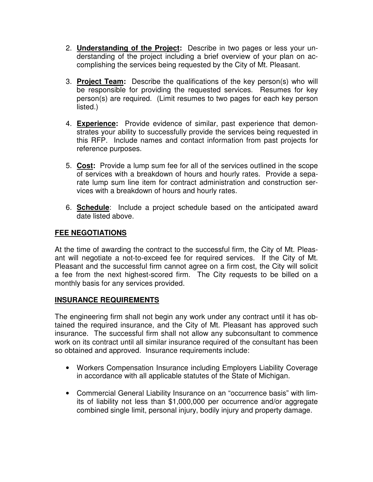- 2. **Understanding of the Project:** Describe in two pages or less your understanding of the project including a brief overview of your plan on accomplishing the services being requested by the City of Mt. Pleasant.
- 3. **Project Team:** Describe the qualifications of the key person(s) who will be responsible for providing the requested services. Resumes for key person(s) are required. (Limit resumes to two pages for each key person listed.)
- 4. **Experience:** Provide evidence of similar, past experience that demonstrates your ability to successfully provide the services being requested in this RFP. Include names and contact information from past projects for reference purposes.
- 5. **Cost:** Provide a lump sum fee for all of the services outlined in the scope of services with a breakdown of hours and hourly rates. Provide a separate lump sum line item for contract administration and construction services with a breakdown of hours and hourly rates.
- 6. **Schedule**: Include a project schedule based on the anticipated award date listed above.

# **FEE NEGOTIATIONS**

At the time of awarding the contract to the successful firm, the City of Mt. Pleasant will negotiate a not-to-exceed fee for required services. If the City of Mt. Pleasant and the successful firm cannot agree on a firm cost, the City will solicit a fee from the next highest-scored firm. The City requests to be billed on a monthly basis for any services provided.

# **INSURANCE REQUIREMENTS**

The engineering firm shall not begin any work under any contract until it has obtained the required insurance, and the City of Mt. Pleasant has approved such insurance. The successful firm shall not allow any subconsultant to commence work on its contract until all similar insurance required of the consultant has been so obtained and approved. Insurance requirements include:

- Workers Compensation Insurance including Employers Liability Coverage in accordance with all applicable statutes of the State of Michigan.
- Commercial General Liability Insurance on an "occurrence basis" with limits of liability not less than \$1,000,000 per occurrence and/or aggregate combined single limit, personal injury, bodily injury and property damage.